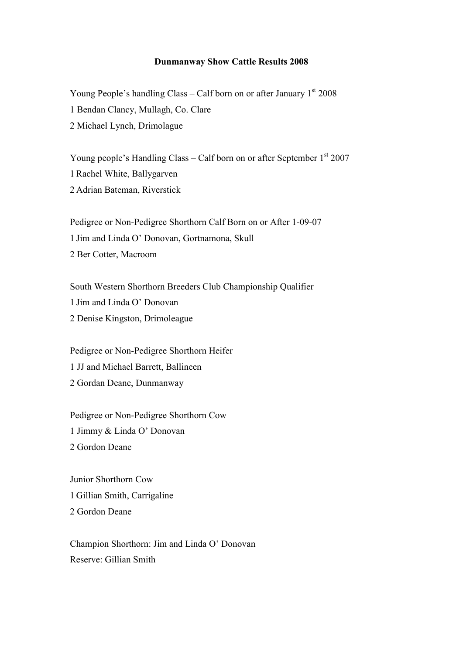## **Dunmanway Show Cattle Results 2008**

Young People's handling Class – Calf born on or after January  $1<sup>st</sup>$  2008 1 Bendan Clancy, Mullagh, Co. Clare 2 Michael Lynch, Drimolague

Young people's Handling Class – Calf born on or after September  $1<sup>st</sup> 2007$ 1 Rachel White, Ballygarven 2 Adrian Bateman, Riverstick

Pedigree or Non-Pedigree Shorthorn Calf Born on or After 1-09-07 1 Jim and Linda O' Donovan, Gortnamona, Skull 2 Ber Cotter, Macroom

South Western Shorthorn Breeders Club Championship Qualifier 1 Jim and Linda O' Donovan 2 Denise Kingston, Drimoleague

Pedigree or Non-Pedigree Shorthorn Heifer 1 JJ and Michael Barrett, Ballineen 2 Gordan Deane, Dunmanway

Pedigree or Non-Pedigree Shorthorn Cow 1 Jimmy & Linda O' Donovan 2 Gordon Deane

Junior Shorthorn Cow 1 Gillian Smith, Carrigaline 2 Gordon Deane

Champion Shorthorn: Jim and Linda O' Donovan Reserve: Gillian Smith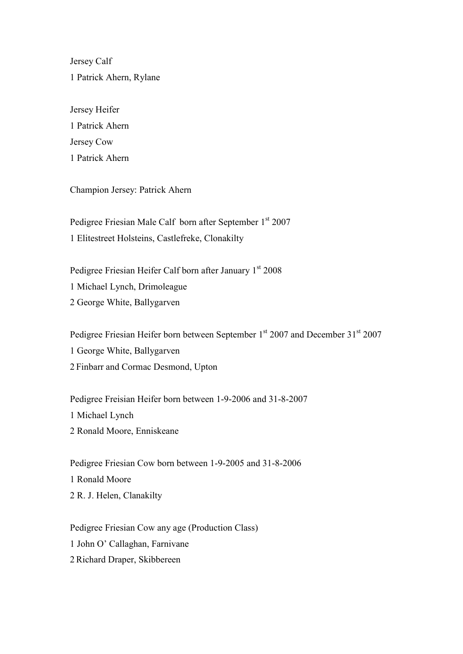Jersey Calf 1 Patrick Ahern, Rylane

Jersey Heifer 1 Patrick Ahern Jersey Cow 1 Patrick Ahern

Champion Jersey: Patrick Ahern

Pedigree Friesian Male Calf born after September 1st 2007 1 Elitestreet Holsteins, Castlefreke, Clonakilty

Pedigree Friesian Heifer Calf born after January 1st 2008 1 Michael Lynch, Drimoleague 2 George White, Ballygarven

Pedigree Friesian Heifer born between September 1<sup>st</sup> 2007 and December 31<sup>st</sup> 2007 1 George White, Ballygarven 2 Finbarr and Cormac Desmond, Upton

Pedigree Freisian Heifer born between 1-9-2006 and 31-8-2007 1 Michael Lynch 2 Ronald Moore, Enniskeane

Pedigree Friesian Cow born between 1-9-2005 and 31-8-2006 1 Ronald Moore 2 R. J. Helen, Clanakilty

Pedigree Friesian Cow any age (Production Class) 1 John O' Callaghan, Farnivane 2 Richard Draper, Skibbereen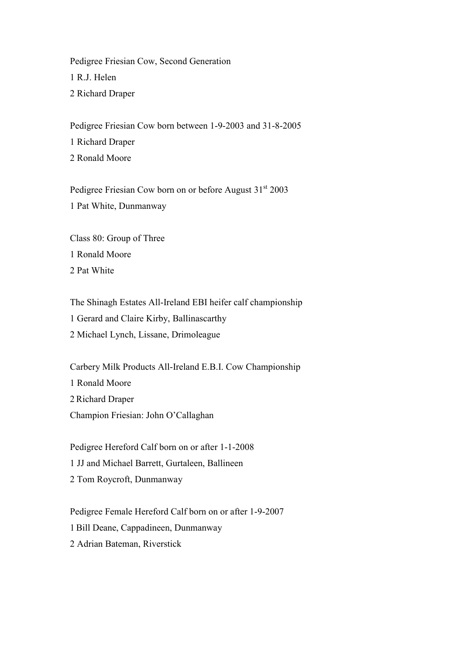Pedigree Friesian Cow, Second Generation 1 R.J. Helen 2 Richard Draper

Pedigree Friesian Cow born between 1-9-2003 and 31-8-2005 1 Richard Draper 2 Ronald Moore

Pedigree Friesian Cow born on or before August 31<sup>st</sup> 2003 1 Pat White, Dunmanway

Class 80: Group of Three 1 Ronald Moore 2 Pat White

The Shinagh Estates All-Ireland EBI heifer calf championship 1 Gerard and Claire Kirby, Ballinascarthy 2 Michael Lynch, Lissane, Drimoleague

Carbery Milk Products All-Ireland E.B.I. Cow Championship 1 Ronald Moore 2 Richard Draper Champion Friesian: John O'Callaghan

Pedigree Hereford Calf born on or after 1-1-2008 1 JJ and Michael Barrett, Gurtaleen, Ballineen 2 Tom Roycroft, Dunmanway

Pedigree Female Hereford Calf born on or after 1-9-2007 1 Bill Deane, Cappadineen, Dunmanway 2 Adrian Bateman, Riverstick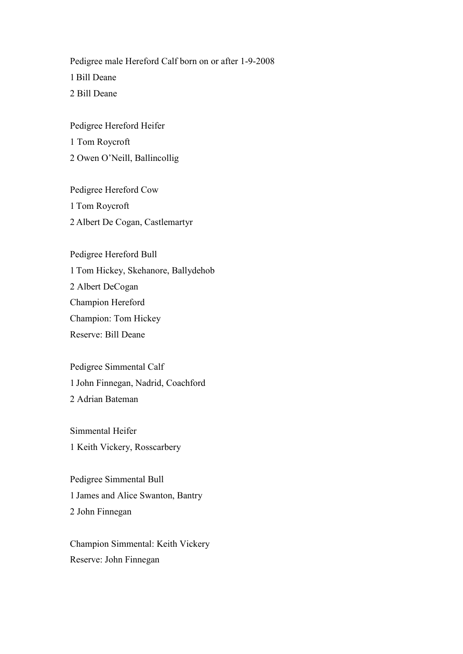Pedigree male Hereford Calf born on or after 1-9-2008 1 Bill Deane 2 Bill Deane

Pedigree Hereford Heifer 1 Tom Roycroft 2 Owen O'Neill, Ballincollig

Pedigree Hereford Cow 1 Tom Roycroft 2 Albert De Cogan, Castlemartyr

Pedigree Hereford Bull 1 Tom Hickey, Skehanore, Ballydehob 2 Albert DeCogan Champion Hereford Champion: Tom Hickey Reserve: Bill Deane

Pedigree Simmental Calf 1 John Finnegan, Nadrid, Coachford 2 Adrian Bateman

Simmental Heifer 1 Keith Vickery, Rosscarbery

Pedigree Simmental Bull 1 James and Alice Swanton, Bantry 2 John Finnegan

Champion Simmental: Keith Vickery Reserve: John Finnegan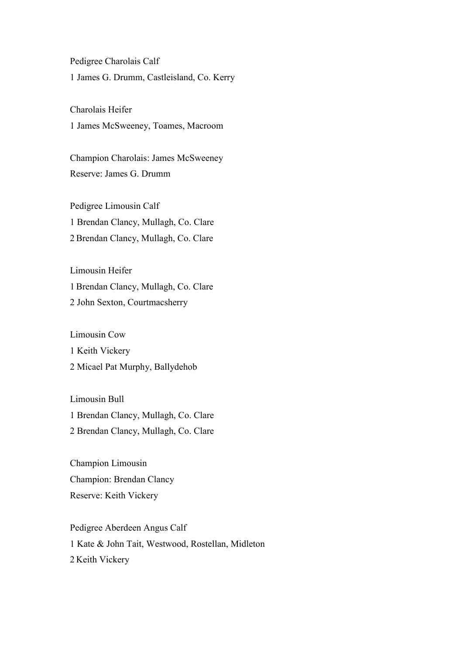Pedigree Charolais Calf 1 James G. Drumm, Castleisland, Co. Kerry

Charolais Heifer 1 James McSweeney, Toames, Macroom

Champion Charolais: James McSweeney Reserve: James G. Drumm

Pedigree Limousin Calf 1 Brendan Clancy, Mullagh, Co. Clare 2 Brendan Clancy, Mullagh, Co. Clare

Limousin Heifer 1 Brendan Clancy, Mullagh, Co. Clare 2 John Sexton, Courtmacsherry

Limousin Cow 1 Keith Vickery 2 Micael Pat Murphy, Ballydehob

Limousin Bull 1 Brendan Clancy, Mullagh, Co. Clare 2 Brendan Clancy, Mullagh, Co. Clare

Champion Limousin Champion: Brendan Clancy Reserve: Keith Vickery

Pedigree Aberdeen Angus Calf 1 Kate & John Tait, Westwood, Rostellan, Midleton 2 Keith Vickery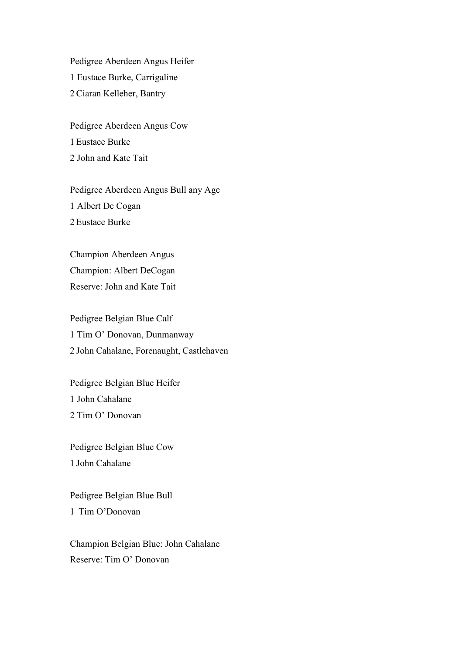Pedigree Aberdeen Angus Heifer 1 Eustace Burke, Carrigaline 2 Ciaran Kelleher, Bantry

Pedigree Aberdeen Angus Cow 1 Eustace Burke 2 John and Kate Tait

Pedigree Aberdeen Angus Bull any Age 1 Albert De Cogan 2 Eustace Burke

Champion Aberdeen Angus Champion: Albert DeCogan Reserve: John and Kate Tait

Pedigree Belgian Blue Calf 1 Tim O' Donovan, Dunmanway 2 John Cahalane, Forenaught, Castlehaven

Pedigree Belgian Blue Heifer 1 John Cahalane 2 Tim O' Donovan

Pedigree Belgian Blue Cow 1 John Cahalane

Pedigree Belgian Blue Bull 1 Tim O'Donovan

Champion Belgian Blue: John Cahalane Reserve: Tim O' Donovan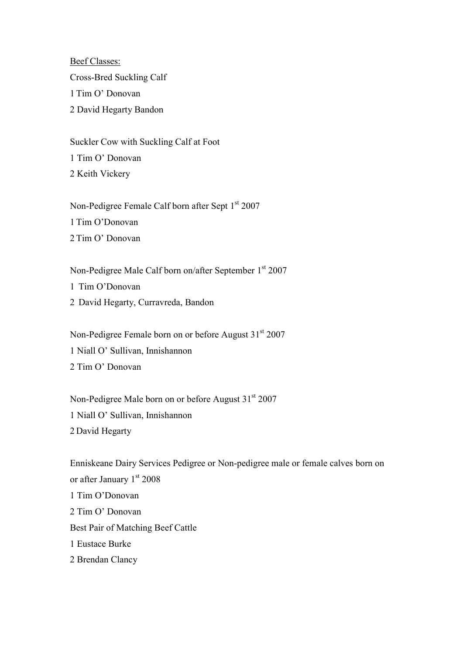Beef Classes: Cross-Bred Suckling Calf 1 Tim O' Donovan 2 David Hegarty Bandon

Suckler Cow with Suckling Calf at Foot 1 Tim O' Donovan 2 Keith Vickery

Non-Pedigree Female Calf born after Sept  $1<sup>st</sup> 2007$ 1 Tim O'Donovan 2 Tim O' Donovan

Non-Pedigree Male Calf born on/after September 1<sup>st</sup> 2007 1 Tim O'Donovan 2 David Hegarty, Curravreda, Bandon

Non-Pedigree Female born on or before August 31<sup>st</sup> 2007 1 Niall O' Sullivan, Innishannon 2 Tim O' Donovan

Non-Pedigree Male born on or before August  $31<sup>st</sup> 2007$ 1 Niall O' Sullivan, Innishannon 2 David Hegarty

Enniskeane Dairy Services Pedigree or Non-pedigree male or female calves born on or after January  $1<sup>st</sup> 2008$ 1 Tim O'Donovan 2 Tim O' Donovan Best Pair of Matching Beef Cattle 1 Eustace Burke 2 Brendan Clancy